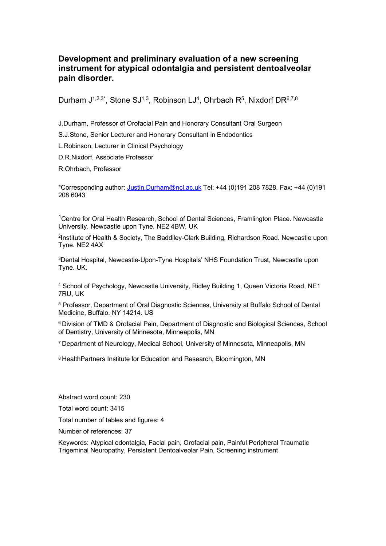### **Development and preliminary evaluation of a new screening instrument for atypical odontalgia and persistent dentoalveolar pain disorder.**

Durham J<sup>1,2,3\*</sup>, Stone SJ<sup>1,3</sup>, Robinson LJ<sup>4</sup>, Ohrbach R<sup>5</sup>, Nixdorf DR<sup>6,7,8</sup>

J.Durham, Professor of Orofacial Pain and Honorary Consultant Oral Surgeon

S.J.Stone, Senior Lecturer and Honorary Consultant in Endodontics

L.Robinson, Lecturer in Clinical Psychology

D.R.Nixdorf, Associate Professor

R.Ohrbach, Professor

\*Corresponding author: Justin.Durham@ncl.ac.uk Tel: +44 (0)191 208 7828. Fax: +44 (0)191 208 6043

<sup>1</sup>Centre for Oral Health Research, School of Dental Sciences, Framlington Place. Newcastle University. Newcastle upon Tyne. NE2 4BW. UK

<sup>2</sup>Institute of Health & Society, The Baddiley-Clark Building, Richardson Road. Newcastle upon Tyne. NE2 4AX

3 Dental Hospital, Newcastle-Upon-Tyne Hospitals' NHS Foundation Trust, Newcastle upon Tyne. UK.

<sup>4</sup> School of Psychology, Newcastle University, Ridley Building 1, Queen Victoria Road, NE1 7RU, UK

<sup>5</sup> Professor, Department of Oral Diagnostic Sciences, University at Buffalo School of Dental Medicine, Buffalo. NY 14214. US

<sup>6</sup> Division of TMD & Orofacial Pain, Department of Diagnostic and Biological Sciences, School of Dentistry, University of Minnesota, Minneapolis, MN

7 Department of Neurology, Medical School, University of Minnesota, Minneapolis, MN

8 HealthPartners Institute for Education and Research, Bloomington, MN

Abstract word count: 230

Total word count: 3415

Total number of tables and figures: 4

Number of references: 37

Keywords: Atypical odontalgia, Facial pain, Orofacial pain, Painful Peripheral Traumatic Trigeminal Neuropathy, Persistent Dentoalveolar Pain, Screening instrument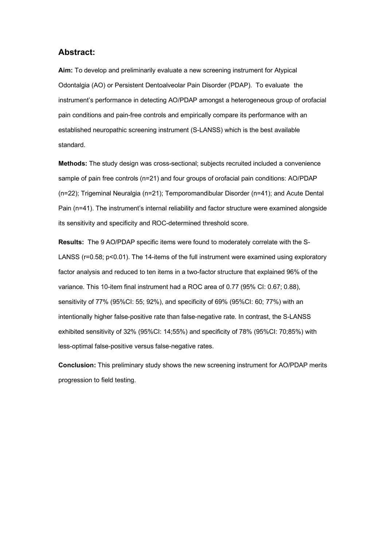### **Abstract:**

**Aim:** To develop and preliminarily evaluate a new screening instrument for Atypical Odontalgia (AO) or Persistent Dentoalveolar Pain Disorder (PDAP). To evaluate the instrument's performance in detecting AO/PDAP amongst a heterogeneous group of orofacial pain conditions and pain-free controls and empirically compare its performance with an established neuropathic screening instrument (S-LANSS) which is the best available standard.

**Methods:** The study design was cross-sectional; subjects recruited included a convenience sample of pain free controls (n=21) and four groups of orofacial pain conditions: AO/PDAP (n=22); Trigeminal Neuralgia (n=21); Temporomandibular Disorder (n=41); and Acute Dental Pain (n=41). The instrument's internal reliability and factor structure were examined alongside its sensitivity and specificity and ROC-determined threshold score.

**Results:** The 9 AO/PDAP specific items were found to moderately correlate with the S-LANSS (r=0.58; p<0.01). The 14-items of the full instrument were examined using exploratory factor analysis and reduced to ten items in a two-factor structure that explained 96% of the variance. This 10-item final instrument had a ROC area of 0.77 (95% CI: 0.67; 0.88), sensitivity of 77% (95%CI: 55; 92%), and specificity of 69% (95%CI: 60; 77%) with an intentionally higher false-positive rate than false-negative rate. In contrast, the S-LANSS exhibited sensitivity of 32% (95%CI: 14;55%) and specificity of 78% (95%CI: 70;85%) with less-optimal false-positive versus false-negative rates.

**Conclusion:** This preliminary study shows the new screening instrument for AO/PDAP merits progression to field testing.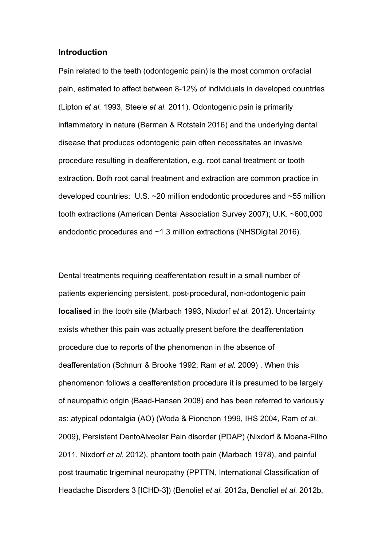### **Introduction**

Pain related to the teeth (odontogenic pain) is the most common orofacial pain, estimated to affect between 8-12% of individuals in developed countries (Lipton *et al.* 1993, Steele *et al.* 2011). Odontogenic pain is primarily inflammatory in nature (Berman & Rotstein 2016) and the underlying dental disease that produces odontogenic pain often necessitates an invasive procedure resulting in deafferentation, e.g. root canal treatment or tooth extraction. Both root canal treatment and extraction are common practice in developed countries: U.S. ~20 million endodontic procedures and ~55 million tooth extractions (American Dental Association Survey 2007); U.K. ~600,000 endodontic procedures and ~1.3 million extractions (NHSDigital 2016).

Dental treatments requiring deafferentation result in a small number of patients experiencing persistent, post-procedural, non-odontogenic pain **localised** in the tooth site (Marbach 1993, Nixdorf *et al.* 2012). Uncertainty exists whether this pain was actually present before the deafferentation procedure due to reports of the phenomenon in the absence of deafferentation (Schnurr & Brooke 1992, Ram *et al.* 2009) . When this phenomenon follows a deafferentation procedure it is presumed to be largely of neuropathic origin (Baad-Hansen 2008) and has been referred to variously as: atypical odontalgia (AO) (Woda & Pionchon 1999, IHS 2004, Ram *et al.* 2009), Persistent DentoAlveolar Pain disorder (PDAP) (Nixdorf & Moana-Filho 2011, Nixdorf *et al.* 2012), phantom tooth pain (Marbach 1978), and painful post traumatic trigeminal neuropathy (PPTTN, International Classification of Headache Disorders 3 [ICHD-3]) (Benoliel *et al.* 2012a, Benoliel *et al.* 2012b,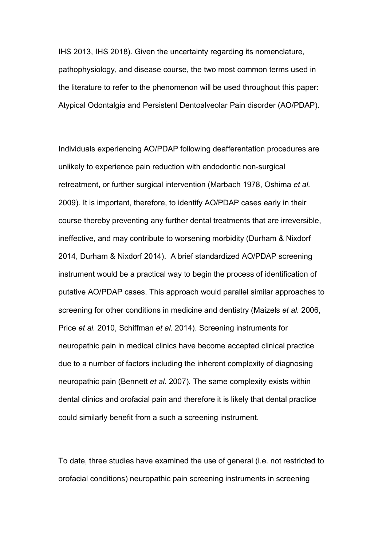IHS 2013, IHS 2018). Given the uncertainty regarding its nomenclature, pathophysiology, and disease course, the two most common terms used in the literature to refer to the phenomenon will be used throughout this paper: Atypical Odontalgia and Persistent Dentoalveolar Pain disorder (AO/PDAP).

Individuals experiencing AO/PDAP following deafferentation procedures are unlikely to experience pain reduction with endodontic non-surgical retreatment, or further surgical intervention (Marbach 1978, Oshima *et al.* 2009). It is important, therefore, to identify AO/PDAP cases early in their course thereby preventing any further dental treatments that are irreversible, ineffective, and may contribute to worsening morbidity (Durham & Nixdorf 2014, Durham & Nixdorf 2014). A brief standardized AO/PDAP screening instrument would be a practical way to begin the process of identification of putative AO/PDAP cases. This approach would parallel similar approaches to screening for other conditions in medicine and dentistry (Maizels *et al.* 2006, Price *et al.* 2010, Schiffman *et al.* 2014). Screening instruments for neuropathic pain in medical clinics have become accepted clinical practice due to a number of factors including the inherent complexity of diagnosing neuropathic pain (Bennett *et al.* 2007). The same complexity exists within dental clinics and orofacial pain and therefore it is likely that dental practice could similarly benefit from a such a screening instrument.

To date, three studies have examined the use of general (i.e. not restricted to orofacial conditions) neuropathic pain screening instruments in screening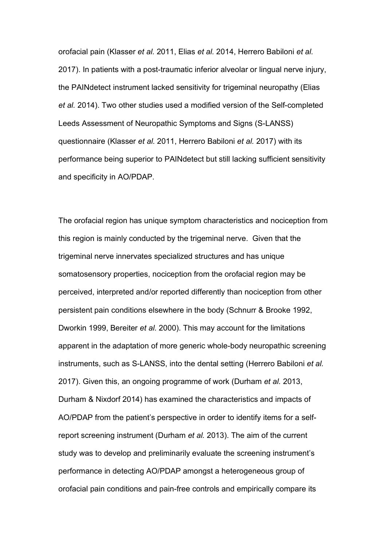orofacial pain (Klasser *et al.* 2011, Elias *et al.* 2014, Herrero Babiloni *et al.* 2017). In patients with a post-traumatic inferior alveolar or lingual nerve injury, the PAINdetect instrument lacked sensitivity for trigeminal neuropathy (Elias *et al.* 2014). Two other studies used a modified version of the Self-completed Leeds Assessment of Neuropathic Symptoms and Signs (S-LANSS) questionnaire (Klasser *et al.* 2011, Herrero Babiloni *et al.* 2017) with its performance being superior to PAINdetect but still lacking sufficient sensitivity and specificity in AO/PDAP.

The orofacial region has unique symptom characteristics and nociception from this region is mainly conducted by the trigeminal nerve. Given that the trigeminal nerve innervates specialized structures and has unique somatosensory properties, nociception from the orofacial region may be perceived, interpreted and/or reported differently than nociception from other persistent pain conditions elsewhere in the body (Schnurr & Brooke 1992, Dworkin 1999, Bereiter *et al.* 2000). This may account for the limitations apparent in the adaptation of more generic whole-body neuropathic screening instruments, such as S-LANSS, into the dental setting (Herrero Babiloni *et al.* 2017). Given this, an ongoing programme of work (Durham *et al.* 2013, Durham & Nixdorf 2014) has examined the characteristics and impacts of AO/PDAP from the patient's perspective in order to identify items for a selfreport screening instrument (Durham *et al.* 2013). The aim of the current study was to develop and preliminarily evaluate the screening instrument's performance in detecting AO/PDAP amongst a heterogeneous group of orofacial pain conditions and pain-free controls and empirically compare its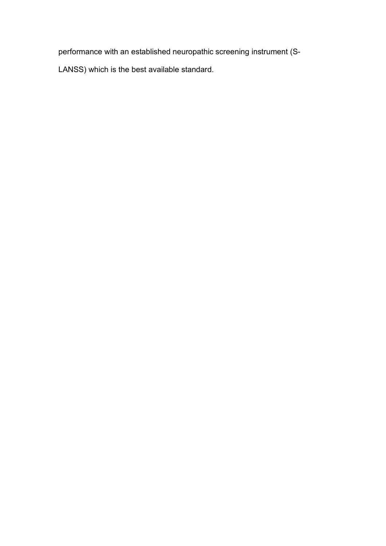performance with an established neuropathic screening instrument (S-

LANSS) which is the best available standard.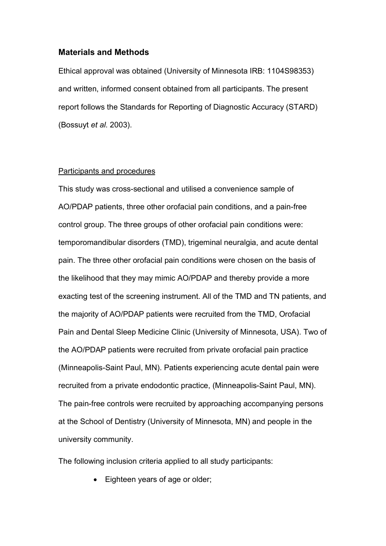### **Materials and Methods**

Ethical approval was obtained (University of Minnesota IRB: 1104S98353) and written, informed consent obtained from all participants. The present report follows the Standards for Reporting of Diagnostic Accuracy (STARD) (Bossuyt *et al.* 2003).

#### Participants and procedures

This study was cross-sectional and utilised a convenience sample of AO/PDAP patients, three other orofacial pain conditions, and a pain-free control group. The three groups of other orofacial pain conditions were: temporomandibular disorders (TMD), trigeminal neuralgia, and acute dental pain. The three other orofacial pain conditions were chosen on the basis of the likelihood that they may mimic AO/PDAP and thereby provide a more exacting test of the screening instrument. All of the TMD and TN patients, and the majority of AO/PDAP patients were recruited from the TMD, Orofacial Pain and Dental Sleep Medicine Clinic (University of Minnesota, USA). Two of the AO/PDAP patients were recruited from private orofacial pain practice (Minneapolis-Saint Paul, MN). Patients experiencing acute dental pain were recruited from a private endodontic practice, (Minneapolis-Saint Paul, MN). The pain-free controls were recruited by approaching accompanying persons at the School of Dentistry (University of Minnesota, MN) and people in the university community.

The following inclusion criteria applied to all study participants:

• Eighteen years of age or older;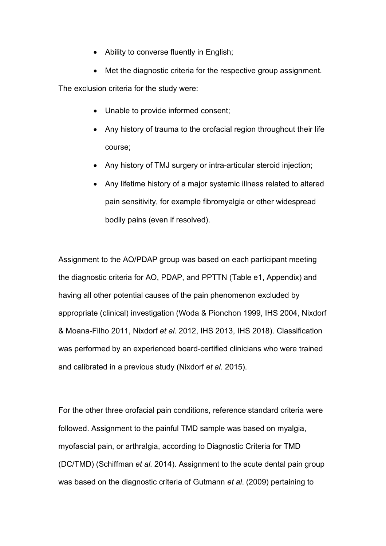- Ability to converse fluently in English;
- Met the diagnostic criteria for the respective group assignment.

The exclusion criteria for the study were:

- Unable to provide informed consent;
- Any history of trauma to the orofacial region throughout their life course;
- Any history of TMJ surgery or intra-articular steroid injection;
- Any lifetime history of a major systemic illness related to altered pain sensitivity, for example fibromyalgia or other widespread bodily pains (even if resolved).

Assignment to the AO/PDAP group was based on each participant meeting the diagnostic criteria for AO, PDAP, and PPTTN (Table e1, Appendix) and having all other potential causes of the pain phenomenon excluded by appropriate (clinical) investigation (Woda & Pionchon 1999, IHS 2004, Nixdorf & Moana-Filho 2011, Nixdorf *et al.* 2012, IHS 2013, IHS 2018). Classification was performed by an experienced board-certified clinicians who were trained and calibrated in a previous study (Nixdorf *et al.* 2015).

For the other three orofacial pain conditions, reference standard criteria were followed. Assignment to the painful TMD sample was based on myalgia, myofascial pain, or arthralgia, according to Diagnostic Criteria for TMD (DC/TMD) (Schiffman *et al.* 2014). Assignment to the acute dental pain group was based on the diagnostic criteria of Gutmann *et al*. (2009) pertaining to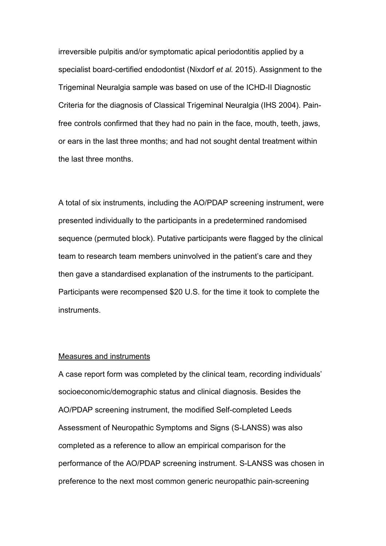irreversible pulpitis and/or symptomatic apical periodontitis applied by a specialist board-certified endodontist (Nixdorf *et al.* 2015). Assignment to the Trigeminal Neuralgia sample was based on use of the ICHD-II Diagnostic Criteria for the diagnosis of Classical Trigeminal Neuralgia (IHS 2004). Painfree controls confirmed that they had no pain in the face, mouth, teeth, jaws, or ears in the last three months; and had not sought dental treatment within the last three months.

A total of six instruments, including the AO/PDAP screening instrument, were presented individually to the participants in a predetermined randomised sequence (permuted block). Putative participants were flagged by the clinical team to research team members uninvolved in the patient's care and they then gave a standardised explanation of the instruments to the participant. Participants were recompensed \$20 U.S. for the time it took to complete the instruments.

#### Measures and instruments

A case report form was completed by the clinical team, recording individuals' socioeconomic/demographic status and clinical diagnosis. Besides the AO/PDAP screening instrument, the modified Self-completed Leeds Assessment of Neuropathic Symptoms and Signs (S-LANSS) was also completed as a reference to allow an empirical comparison for the performance of the AO/PDAP screening instrument. S-LANSS was chosen in preference to the next most common generic neuropathic pain-screening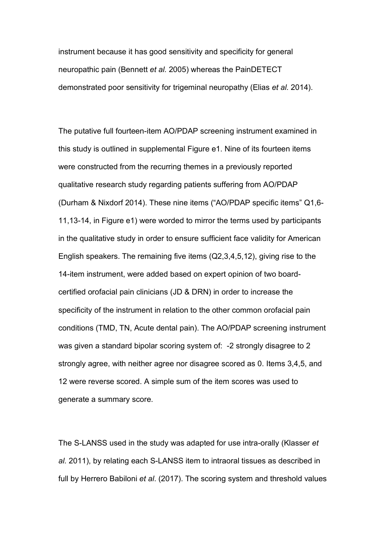instrument because it has good sensitivity and specificity for general neuropathic pain (Bennett *et al.* 2005) whereas the PainDETECT demonstrated poor sensitivity for trigeminal neuropathy (Elias *et al.* 2014).

The putative full fourteen-item AO/PDAP screening instrument examined in this study is outlined in supplemental Figure e1. Nine of its fourteen items were constructed from the recurring themes in a previously reported qualitative research study regarding patients suffering from AO/PDAP (Durham & Nixdorf 2014). These nine items ("AO/PDAP specific items" Q1,6- 11,13-14, in Figure e1) were worded to mirror the terms used by participants in the qualitative study in order to ensure sufficient face validity for American English speakers. The remaining five items (Q2,3,4,5,12), giving rise to the 14-item instrument, were added based on expert opinion of two boardcertified orofacial pain clinicians (JD & DRN) in order to increase the specificity of the instrument in relation to the other common orofacial pain conditions (TMD, TN, Acute dental pain). The AO/PDAP screening instrument was given a standard bipolar scoring system of: -2 strongly disagree to 2 strongly agree, with neither agree nor disagree scored as 0. Items 3,4,5, and 12 were reverse scored. A simple sum of the item scores was used to generate a summary score.

The S-LANSS used in the study was adapted for use intra-orally (Klasser *et al.* 2011), by relating each S-LANSS item to intraoral tissues as described in full by Herrero Babiloni *et al*. (2017). The scoring system and threshold values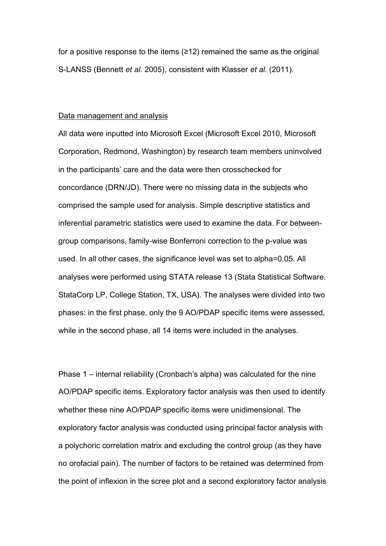for a positive response to the items (≥12) remained the same as the original S-LANSS (Bennett *et al.* 2005), consistent with Klasser *et al*. (2011).

#### Data management and analysis

All data were inputted into Microsoft Excel (Microsoft Excel 2010, Microsoft Corporation, Redmond, Washington) by research team members uninvolved in the participants' care and the data were then crosschecked for concordance (DRN/JD). There were no missing data in the subjects who comprised the sample used for analysis. Simple descriptive statistics and inferential parametric statistics were used to examine the data. For betweengroup comparisons, family-wise Bonferroni correction to the p-value was used. In all other cases, the significance level was set to alpha=0.05. All analyses were performed using STATA release 13 (Stata Statistical Software. StataCorp LP, College Station, TX, USA). The analyses were divided into two phases: in the first phase, only the 9 AO/PDAP specific items were assessed, while in the second phase, all 14 items were included in the analyses.

Phase 1 – internal reliability (Cronbach's alpha) was calculated for the nine AO/PDAP specific items. Exploratory factor analysis was then used to identify whether these nine AO/PDAP specific items were unidimensional. The exploratory factor analysis was conducted using principal factor analysis with a polychoric correlation matrix and excluding the control group (as they have no orofacial pain). The number of factors to be retained was determined from the point of inflexion in the scree plot and a second exploratory factor analysis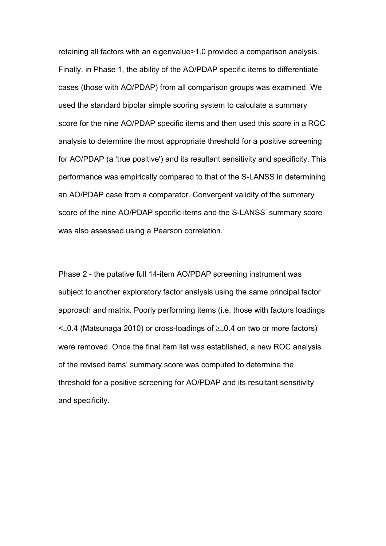retaining all factors with an eigenvalue>1.0 provided a comparison analysis. Finally, in Phase 1, the ability of the AO/PDAP specific items to differentiate cases (those with AO/PDAP) from all comparison groups was examined. We used the standard bipolar simple scoring system to calculate a summary score for the nine AO/PDAP specific items and then used this score in a ROC analysis to determine the most appropriate threshold for a positive screening for AO/PDAP (a 'true positive') and its resultant sensitivity and specificity. This performance was empirically compared to that of the S-LANSS in determining an AO/PDAP case from a comparator. Convergent validity of the summary score of the nine AO/PDAP specific items and the S-LANSS' summary score was also assessed using a Pearson correlation.

Phase 2 - the putative full 14-item AO/PDAP screening instrument was subject to another exploratory factor analysis using the same principal factor approach and matrix. Poorly performing items (i.e. those with factors loadings  $\leq$ ±0.4 (Matsunaga 2010) or cross-loadings of  $\geq$ ±0.4 on two or more factors) were removed. Once the final item list was established, a new ROC analysis of the revised items' summary score was computed to determine the threshold for a positive screening for AO/PDAP and its resultant sensitivity and specificity.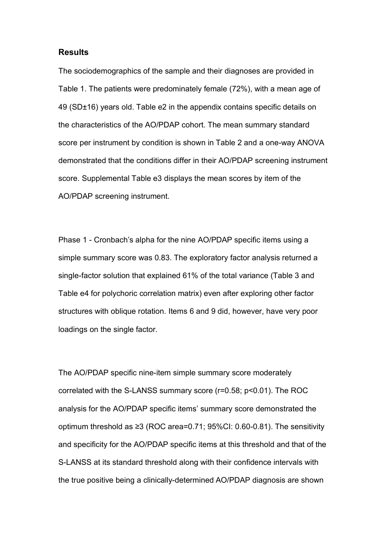### **Results**

The sociodemographics of the sample and their diagnoses are provided in Table 1. The patients were predominately female (72%), with a mean age of 49 (SD±16) years old. Table e2 in the appendix contains specific details on the characteristics of the AO/PDAP cohort. The mean summary standard score per instrument by condition is shown in Table 2 and a one-way ANOVA demonstrated that the conditions differ in their AO/PDAP screening instrument score. Supplemental Table e3 displays the mean scores by item of the AO/PDAP screening instrument.

Phase 1 - Cronbach's alpha for the nine AO/PDAP specific items using a simple summary score was 0.83. The exploratory factor analysis returned a single-factor solution that explained 61% of the total variance (Table 3 and Table e4 for polychoric correlation matrix) even after exploring other factor structures with oblique rotation. Items 6 and 9 did, however, have very poor loadings on the single factor.

The AO/PDAP specific nine-item simple summary score moderately correlated with the S-LANSS summary score (r=0.58; p<0.01). The ROC analysis for the AO/PDAP specific items' summary score demonstrated the optimum threshold as ≥3 (ROC area=0.71; 95%CI: 0.60-0.81). The sensitivity and specificity for the AO/PDAP specific items at this threshold and that of the S-LANSS at its standard threshold along with their confidence intervals with the true positive being a clinically-determined AO/PDAP diagnosis are shown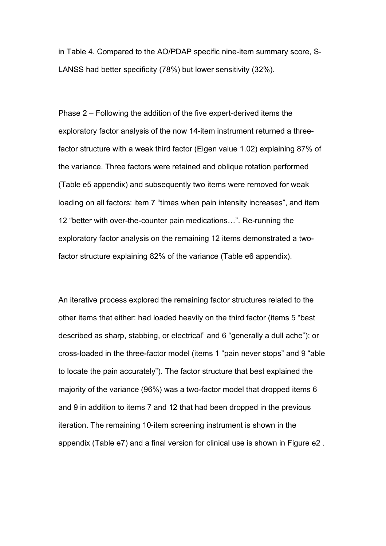in Table 4. Compared to the AO/PDAP specific nine-item summary score, S-LANSS had better specificity (78%) but lower sensitivity (32%).

Phase 2 – Following the addition of the five expert-derived items the exploratory factor analysis of the now 14-item instrument returned a threefactor structure with a weak third factor (Eigen value 1.02) explaining 87% of the variance. Three factors were retained and oblique rotation performed (Table e5 appendix) and subsequently two items were removed for weak loading on all factors: item 7 "times when pain intensity increases", and item 12 "better with over-the-counter pain medications…". Re-running the exploratory factor analysis on the remaining 12 items demonstrated a twofactor structure explaining 82% of the variance (Table e6 appendix).

An iterative process explored the remaining factor structures related to the other items that either: had loaded heavily on the third factor (items 5 "best described as sharp, stabbing, or electrical" and 6 "generally a dull ache"); or cross-loaded in the three-factor model (items 1 "pain never stops" and 9 "able to locate the pain accurately"). The factor structure that best explained the majority of the variance (96%) was a two-factor model that dropped items 6 and 9 in addition to items 7 and 12 that had been dropped in the previous iteration. The remaining 10-item screening instrument is shown in the appendix (Table e7) and a final version for clinical use is shown in Figure e2 .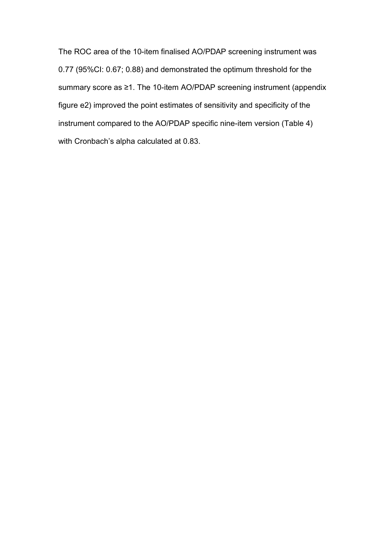The ROC area of the 10-item finalised AO/PDAP screening instrument was 0.77 (95%CI: 0.67; 0.88) and demonstrated the optimum threshold for the summary score as ≥1. The 10-item AO/PDAP screening instrument (appendix figure e2) improved the point estimates of sensitivity and specificity of the instrument compared to the AO/PDAP specific nine-item version (Table 4) with Cronbach's alpha calculated at 0.83.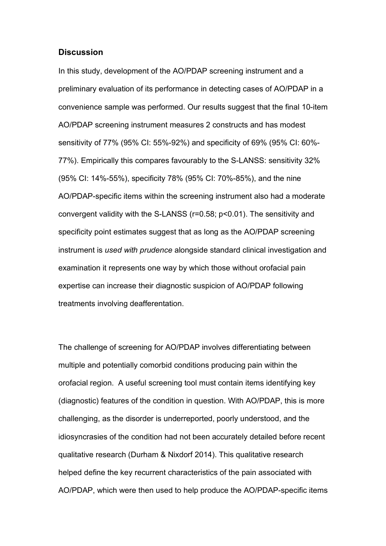### **Discussion**

In this study, development of the AO/PDAP screening instrument and a preliminary evaluation of its performance in detecting cases of AO/PDAP in a convenience sample was performed. Our results suggest that the final 10-item AO/PDAP screening instrument measures 2 constructs and has modest sensitivity of 77% (95% CI: 55%-92%) and specificity of 69% (95% CI: 60%- 77%). Empirically this compares favourably to the S-LANSS: sensitivity 32% (95% CI: 14%-55%), specificity 78% (95% CI: 70%-85%), and the nine AO/PDAP-specific items within the screening instrument also had a moderate convergent validity with the S-LANSS (r=0.58; p<0.01). The sensitivity and specificity point estimates suggest that as long as the AO/PDAP screening instrument is *used with prudence* alongside standard clinical investigation and examination it represents one way by which those without orofacial pain expertise can increase their diagnostic suspicion of AO/PDAP following treatments involving deafferentation.

The challenge of screening for AO/PDAP involves differentiating between multiple and potentially comorbid conditions producing pain within the orofacial region. A useful screening tool must contain items identifying key (diagnostic) features of the condition in question. With AO/PDAP, this is more challenging, as the disorder is underreported, poorly understood, and the idiosyncrasies of the condition had not been accurately detailed before recent qualitative research (Durham & Nixdorf 2014). This qualitative research helped define the key recurrent characteristics of the pain associated with AO/PDAP, which were then used to help produce the AO/PDAP-specific items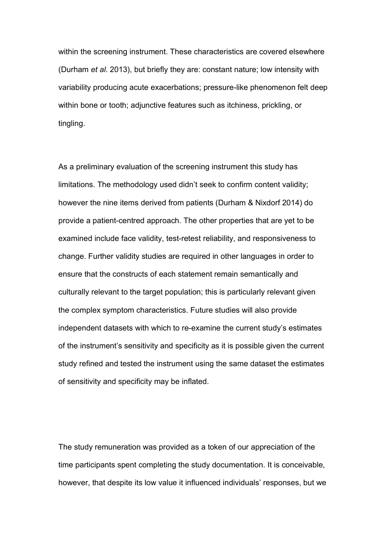within the screening instrument. These characteristics are covered elsewhere (Durham *et al.* 2013), but briefly they are: constant nature; low intensity with variability producing acute exacerbations; pressure-like phenomenon felt deep within bone or tooth; adjunctive features such as itchiness, prickling, or tingling.

As a preliminary evaluation of the screening instrument this study has limitations. The methodology used didn't seek to confirm content validity; however the nine items derived from patients (Durham & Nixdorf 2014) do provide a patient-centred approach. The other properties that are yet to be examined include face validity, test-retest reliability, and responsiveness to change. Further validity studies are required in other languages in order to ensure that the constructs of each statement remain semantically and culturally relevant to the target population; this is particularly relevant given the complex symptom characteristics. Future studies will also provide independent datasets with which to re-examine the current study's estimates of the instrument's sensitivity and specificity as it is possible given the current study refined and tested the instrument using the same dataset the estimates of sensitivity and specificity may be inflated.

The study remuneration was provided as a token of our appreciation of the time participants spent completing the study documentation. It is conceivable, however, that despite its low value it influenced individuals' responses, but we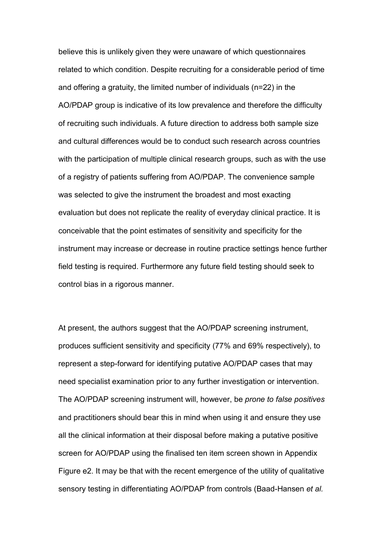believe this is unlikely given they were unaware of which questionnaires related to which condition. Despite recruiting for a considerable period of time and offering a gratuity, the limited number of individuals (n=22) in the AO/PDAP group is indicative of its low prevalence and therefore the difficulty of recruiting such individuals. A future direction to address both sample size and cultural differences would be to conduct such research across countries with the participation of multiple clinical research groups, such as with the use of a registry of patients suffering from AO/PDAP. The convenience sample was selected to give the instrument the broadest and most exacting evaluation but does not replicate the reality of everyday clinical practice. It is conceivable that the point estimates of sensitivity and specificity for the instrument may increase or decrease in routine practice settings hence further field testing is required. Furthermore any future field testing should seek to control bias in a rigorous manner.

At present, the authors suggest that the AO/PDAP screening instrument, produces sufficient sensitivity and specificity (77% and 69% respectively), to represent a step-forward for identifying putative AO/PDAP cases that may need specialist examination prior to any further investigation or intervention. The AO/PDAP screening instrument will, however, be *prone to false positives* and practitioners should bear this in mind when using it and ensure they use all the clinical information at their disposal before making a putative positive screen for AO/PDAP using the finalised ten item screen shown in Appendix Figure e2. It may be that with the recent emergence of the utility of qualitative sensory testing in differentiating AO/PDAP from controls (Baad-Hansen *et al.*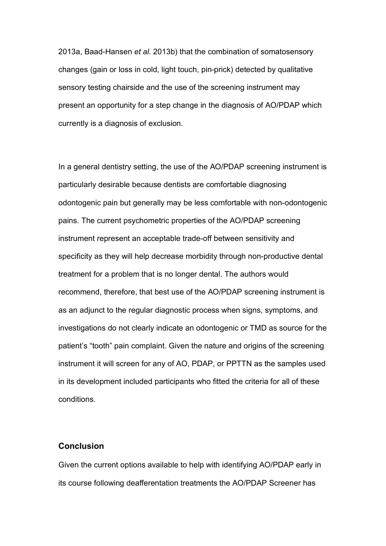2013a, Baad-Hansen *et al.* 2013b) that the combination of somatosensory changes (gain or loss in cold, light touch, pin-prick) detected by qualitative sensory testing chairside and the use of the screening instrument may present an opportunity for a step change in the diagnosis of AO/PDAP which currently is a diagnosis of exclusion.

In a general dentistry setting, the use of the AO/PDAP screening instrument is particularly desirable because dentists are comfortable diagnosing odontogenic pain but generally may be less comfortable with non-odontogenic pains. The current psychometric properties of the AO/PDAP screening instrument represent an acceptable trade-off between sensitivity and specificity as they will help decrease morbidity through non-productive dental treatment for a problem that is no longer dental. The authors would recommend, therefore, that best use of the AO/PDAP screening instrument is as an adjunct to the regular diagnostic process when signs, symptoms, and investigations do not clearly indicate an odontogenic or TMD as source for the patient's "tooth" pain complaint. Given the nature and origins of the screening instrument it will screen for any of AO, PDAP, or PPTTN as the samples used in its development included participants who fitted the criteria for all of these conditions.

### **Conclusion**

Given the current options available to help with identifying AO/PDAP early in its course following deafferentation treatments the AO/PDAP Screener has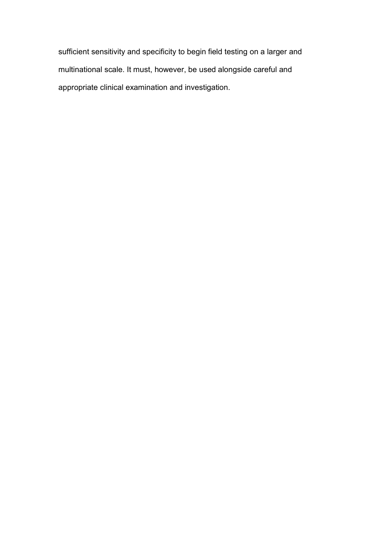sufficient sensitivity and specificity to begin field testing on a larger and multinational scale. It must, however, be used alongside careful and appropriate clinical examination and investigation.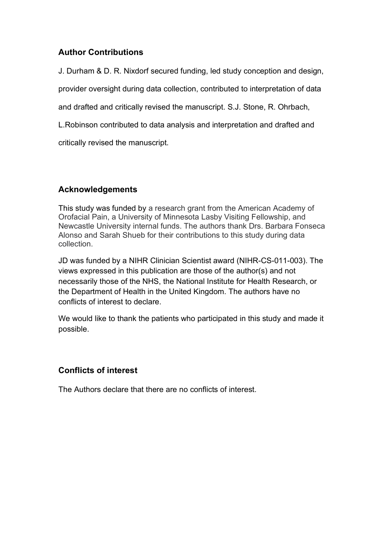# **Author Contributions**

J. Durham & D. R. Nixdorf secured funding, led study conception and design,

provider oversight during data collection, contributed to interpretation of data

and drafted and critically revised the manuscript. S.J. Stone, R. Ohrbach,

L.Robinson contributed to data analysis and interpretation and drafted and

critically revised the manuscript.

# **Acknowledgements**

This study was funded by a research grant from the American Academy of Orofacial Pain, a University of Minnesota Lasby Visiting Fellowship, and Newcastle University internal funds. The authors thank Drs. Barbara Fonseca Alonso and Sarah Shueb for their contributions to this study during data collection.

JD was funded by a NIHR Clinician Scientist award (NIHR-CS-011-003). The views expressed in this publication are those of the author(s) and not necessarily those of the NHS, the National Institute for Health Research, or the Department of Health in the United Kingdom. The authors have no conflicts of interest to declare.

We would like to thank the patients who participated in this study and made it possible.

# **Conflicts of interest**

The Authors declare that there are no conflicts of interest.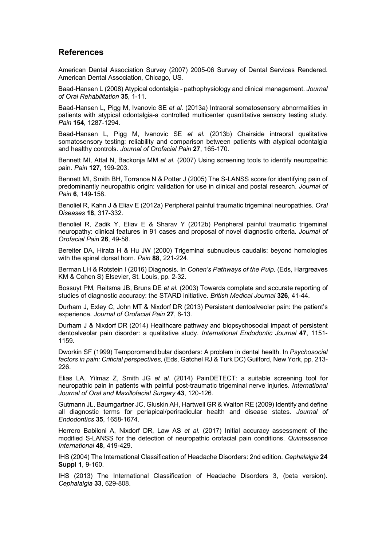### **References**

American Dental Association Survey (2007) 2005-06 Survey of Dental Services Rendered. American Dental Association, Chicago, US.

Baad-Hansen L (2008) Atypical odontalgia - pathophysiology and clinical management. *Journal of Oral Rehabilitation* **35**, 1-11.

Baad-Hansen L, Pigg M, Ivanovic SE *et al.* (2013a) Intraoral somatosensory abnormalities in patients with atypical odontalgia-a controlled multicenter quantitative sensory testing study. *Pain* **154**, 1287-1294.

Baad-Hansen L, Pigg M, Ivanovic SE *et al.* (2013b) Chairside intraoral qualitative somatosensory testing: reliability and comparison between patients with atypical odontalgia and healthy controls. *Journal of Orofacial Pain* **27**, 165-170.

Bennett MI, Attal N, Backonja MM *et al.* (2007) Using screening tools to identify neuropathic pain. *Pain* **127**, 199-203.

Bennett MI, Smith BH, Torrance N & Potter J (2005) The S-LANSS score for identifying pain of predominantly neuropathic origin: validation for use in clinical and postal research. *Journal of Pain* **6**, 149-158.

Benoliel R, Kahn J & Eliav E (2012a) Peripheral painful traumatic trigeminal neuropathies. *Oral Diseases* **18**, 317-332.

Benoliel R, Zadik Y, Eliav E & Sharav Y (2012b) Peripheral painful traumatic trigeminal neuropathy: clinical features in 91 cases and proposal of novel diagnostic criteria. *Journal of Orofacial Pain* **26**, 49-58.

Bereiter DA, Hirata H & Hu JW (2000) Trigeminal subnucleus caudalis: beyond homologies with the spinal dorsal horn. *Pain* **88**, 221-224.

Berman LH & Rotstein I (2016) Diagnosis. In *Cohen's Pathways of the Pulp,* (Eds, Hargreaves KM & Cohen S) Elsevier, St. Louis, pp. 2-32.

Bossuyt PM, Reitsma JB, Bruns DE *et al.* (2003) Towards complete and accurate reporting of studies of diagnostic accuracy: the STARD initiative. *British Medical Journal* **326**, 41-44.

Durham J, Exley C, John MT & Nixdorf DR (2013) Persistent dentoalveolar pain: the patient's experience. *Journal of Orofacial Pain* **27**, 6-13.

Durham J & Nixdorf DR (2014) Healthcare pathway and biopsychosocial impact of persistent dentoalveolar pain disorder: a qualitative study. *International Endodontic Journal* **47**, 1151- 1159.

Dworkin SF (1999) Temporomandibular disorders: A problem in dental health. In *Psychosocial factors in pain: Criticial perspectives,* (Eds, Gatchel RJ & Turk DC) Guilford, New York, pp. 213- 226.

Elias LA, Yilmaz Z, Smith JG *et al.* (2014) PainDETECT: a suitable screening tool for neuropathic pain in patients with painful post-traumatic trigeminal nerve injuries. *International Journal of Oral and Maxillofacial Surgery* **43**, 120-126.

Gutmann JL, Baumgartner JC, Gluskin AH, Hartwell GR & Walton RE (2009) Identify and define all diagnostic terms for periapical/periradicular health and disease states. *Journal of Endodontics* **35**, 1658-1674.

Herrero Babiloni A, Nixdorf DR, Law AS *et al.* (2017) Initial accuracy assessment of the modified S-LANSS for the detection of neuropathic orofacial pain conditions. *Quintessence International* **48**, 419-429.

IHS (2004) The International Classification of Headache Disorders: 2nd edition. *Cephalalgia* **24 Suppl 1**, 9-160.

IHS (2013) The International Classification of Headache Disorders 3, (beta version). *Cephalalgia* **33**, 629-808.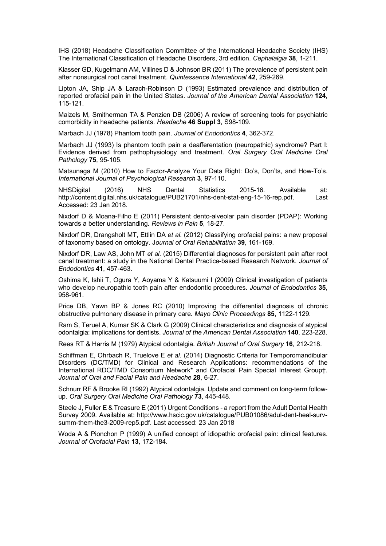IHS (2018) Headache Classification Committee of the International Headache Society (IHS) The International Classification of Headache Disorders, 3rd edition. *Cephalalgia* **38**, 1-211.

Klasser GD, Kugelmann AM, Villines D & Johnson BR (2011) The prevalence of persistent pain after nonsurgical root canal treatment. *Quintessence International* **42**, 259-269.

Lipton JA, Ship JA & Larach-Robinson D (1993) Estimated prevalence and distribution of reported orofacial pain in the United States. *Journal of the American Dental Association* **124**, 115-121.

Maizels M, Smitherman TA & Penzien DB (2006) A review of screening tools for psychiatric comorbidity in headache patients. *Headache* **46 Suppl 3**, S98-109.

Marbach JJ (1978) Phantom tooth pain. *Journal of Endodontics* **4**, 362-372.

Marbach JJ (1993) Is phantom tooth pain a deafferentation (neuropathic) syndrome? Part I: Evidence derived from pathophysiology and treatment. *Oral Surgery Oral Medicine Oral Pathology* **75**, 95-105.

Matsunaga M (2010) How to Factor-Analyze Your Data Right: Do's, Don'ts, and How-To's. *International Journal of Psychological Research* **3**, 97-110.

NHSDigital (2016) NHS Dental Statistics 2015-16. Available at: http://content.digital.nhs.uk/catalogue/PUB21701/nhs-dent-stat-eng-15-16-rep.pdf. Last Accessed: 23 Jan 2018.

Nixdorf D & Moana-Filho E (2011) Persistent dento-alveolar pain disorder (PDAP): Working towards a better understanding. *Reviews in Pain* **5**, 18-27.

Nixdorf DR, Drangsholt MT, Ettlin DA *et al.* (2012) Classifying orofacial pains: a new proposal of taxonomy based on ontology. J*ournal of Oral Rehabilitation* **39**, 161-169.

Nixdorf DR, Law AS, John MT *et al.* (2015) Differential diagnoses for persistent pain after root canal treatment: a study in the National Dental Practice-based Research Network. *Journal of Endodontics* **41**, 457-463.

Oshima K, Ishii T, Ogura Y, Aoyama Y & Katsuumi I (2009) Clinical investigation of patients who develop neuropathic tooth pain after endodontic procedures. *Journal of Endodontics* **35**, 958-961.

Price DB, Yawn BP & Jones RC (2010) Improving the differential diagnosis of chronic obstructive pulmonary disease in primary care. *Mayo Clinic Proceedings* **85**, 1122-1129.

Ram S, Teruel A, Kumar SK & Clark G (2009) Clinical characteristics and diagnosis of atypical odontalgia: implications for dentists. *Journal of the American Dental Association* **140**, 223-228.

Rees RT & Harris M (1979) Atypical odontalgia. *British Journal of Oral Surgery* **16**, 212-218.

Schiffman E, Ohrbach R, Truelove E *et al.* (2014) Diagnostic Criteria for Temporomandibular Disorders (DC/TMD) for Clinical and Research Applications: recommendations of the International RDC/TMD Consortium Network\* and Orofacial Pain Special Interest Group†. *Journal of Oral and Facial Pain and Headache* **28**, 6-27.

Schnurr RF & Brooke RI (1992) Atypical odontalgia. Update and comment on long-term followup. *Oral Surgery Oral Medicine Oral Pathology* **73**, 445-448.

Steele J, Fuller E & Treasure E (2011) Urgent Conditions - a report from the Adult Dental Health Survey 2009. Available at: http://www.hscic.gov.uk/catalogue/PUB01086/adul-dent-heal-survsumm-them-the3-2009-rep5.pdf. Last accessed: 23 Jan 2018

Woda A & Pionchon P (1999) A unified concept of idiopathic orofacial pain: clinical features. *Journal of Orofacial Pain* **13**, 172-184.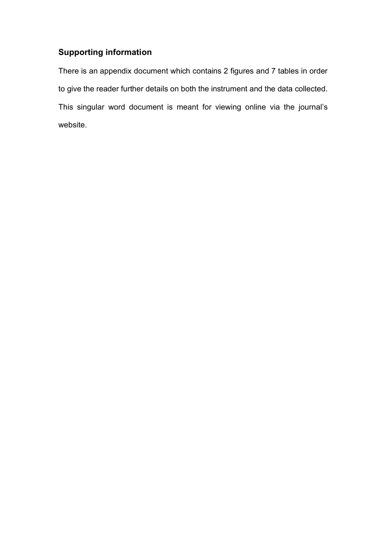# **Supporting information**

There is an appendix document which contains 2 figures and 7 tables in order to give the reader further details on both the instrument and the data collected. This singular word document is meant for viewing online via the journal's website.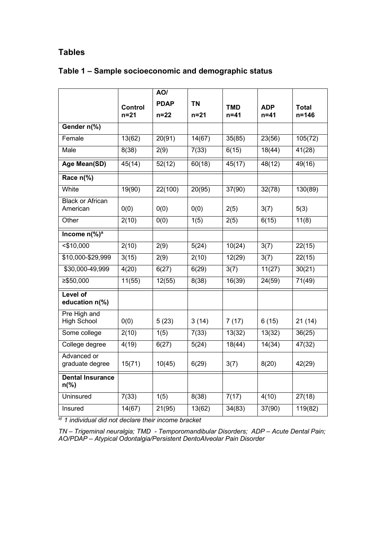## **Tables**

|                                           |          | AO/         |           |                  |            |              |  |
|-------------------------------------------|----------|-------------|-----------|------------------|------------|--------------|--|
|                                           | Control  | <b>PDAP</b> | <b>TN</b> | <b>TMD</b>       | <b>ADP</b> | <b>Total</b> |  |
|                                           | $n = 21$ | $n = 22$    | $n = 21$  | $n = 41$         | n=41       | $n = 146$    |  |
| Gender n(%)                               |          |             |           |                  |            |              |  |
| Female                                    | 13(62)   | 20(91)      | 14(67)    | 35(85)           | 23(56)     | 105(72)      |  |
| Male                                      | 8(38)    | 2(9)        | 7(33)     | 6(15)            | 18(44)     | 41(28)       |  |
| <b>Age Mean(SD)</b>                       | 45(14)   | 52(12)      | 60(18)    | 45(17)           | 48(12)     | 49(16)       |  |
| Race n(%)                                 |          |             |           |                  |            |              |  |
| White                                     | 19(90)   | 22(100)     | 20(95)    | 37(90)           | 32(78)     | 130(89)      |  |
| <b>Black or African</b><br>American       | 0(0)     | 0(0)        | 0(0)      | 2(5)             | 3(7)       | 5(3)         |  |
| Other                                     | 2(10)    | 0(0)        | 1(5)      | 2(5)             | 6(15)      | 11(8)        |  |
| Income $n\sqrt{%}$ <sup>a</sup>           |          |             |           |                  |            |              |  |
| $<$ \$10,000                              | 2(10)    | 2(9)        | 5(24)     | 10(24)           | 3(7)       | 22(15)       |  |
| \$10,000-\$29,999                         | 3(15)    | 2(9)        | 2(10)     | 12(29)<br>3(7)   |            | 22(15)       |  |
| \$30,000-49,999                           | 4(20)    | 6(27)       | 6(29)     | 3(7)<br>11(27)   |            | 30(21)       |  |
| $≥$ \$50,000                              | 11(55)   | 12(55)      | 8(38)     | 16(39)<br>24(59) |            | 71(49)       |  |
| <b>Level of</b><br>education n(%)         |          |             |           |                  |            |              |  |
| Pre High and<br><b>High School</b>        | 0(0)     | 5(23)       | 3(14)     | 7(17)            | 6(15)      | 21(14)       |  |
| Some college                              | 2(10)    | 1(5)        | 7(33)     | 13(32)           | 13(32)     | 36(25)       |  |
| College degree                            | 4(19)    | 6(27)       | 5(24)     | 18(44)           | 14(34)     | 47(32)       |  |
| Advanced or<br>graduate degree            | 15(71)   | 10(45)      | 6(29)     | 3(7)             | 8(20)      | 42(29)       |  |
| <b>Dental Insurance</b><br>$n\frac{9}{6}$ |          |             |           |                  |            |              |  |
| Uninsured                                 | 7(33)    | 1(5)        | 8(38)     | 7(17)            | 4(10)      | 27(18)       |  |
| Insured                                   | 14(67)   | 21(95)      | 13(62)    | 34(83)           | 37(90)     | 119(82)      |  |

# **Table 1 – Sample socioeconomic and demographic status**

*a) 1 individual did not declare their income bracket*

*TN – Trigeminal neuralgia; TMD - Temporomandibular Disorders; ADP – Acute Dental Pain; AO/PDAP – Atypical Odontalgia/Persistent DentoAlveolar Pain Disorder*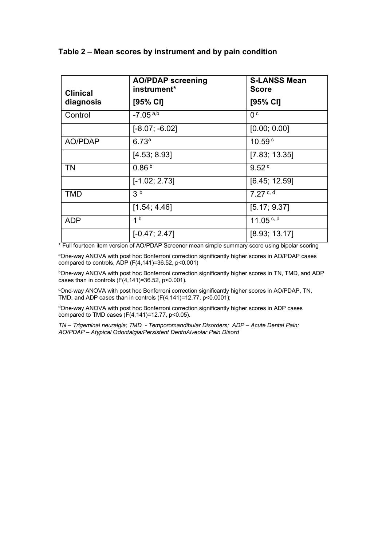### **Table 2 – Mean scores by instrument and by pain condition**

| <b>Clinical</b> | <b>AO/PDAP screening</b><br>instrument* | <b>S-LANSS Mean</b><br><b>Score</b> |
|-----------------|-----------------------------------------|-------------------------------------|
| diagnosis       | $[95%$ CI]                              | $[95%$ CI]                          |
| Control         | $-7.05$ <sup>a,b</sup>                  | 0 <sub>c</sub>                      |
|                 | $[-8.07; -6.02]$                        | [0.00; 0.00]                        |
| AO/PDAP         | 6.73a                                   | 10.59 $c$                           |
|                 | [4.53; 8.93]                            | [7.83; 13.35]                       |
| TN              | 0.86 <sup>b</sup>                       | 9.52 <sup>c</sup>                   |
|                 | $[-1.02; 2.73]$                         | [6.45; 12.59]                       |
| TMD             | 3 <sup>b</sup>                          | $7.27c$ , d                         |
|                 | [1.54; 4.46]                            | [5.17; 9.37]                        |
| <b>ADP</b>      | 1 <sup>b</sup>                          | 11.05 $c$ , d                       |
|                 | $[-0.47; 2.47]$                         | [8.93; 13.17]                       |

\* Full fourteen item version of AO/PDAP Screener mean simple summary score using bipolar scoring

aOne-way ANOVA with post hoc Bonferroni correction significantly higher scores in AO/PDAP cases compared to controls, ADP  $(F(4, 141)=36.52, p<0.001)$ 

**bOne-way ANOVA with post hoc Bonferroni correction significantly higher scores in TN, TMD, and ADP** cases than in controls  $(F(4, 141)=36.52, p<0.001)$ .

c One-way ANOVA with post hoc Bonferroni correction significantly higher scores in AO/PDAP, TN, TMD, and ADP cases than in controls  $(F(4, 141)=12.77, p<0.0001)$ ;

dOne-way ANOVA with post hoc Bonferroni correction significantly higher scores in ADP cases compared to TMD cases  $(F(4, 141)=12.77, p<0.05)$ .

*TN – Trigeminal neuralgia; TMD - Temporomandibular Disorders; ADP – Acute Dental Pain; AO/PDAP – Atypical Odontalgia/Persistent DentoAlveolar Pain Disord*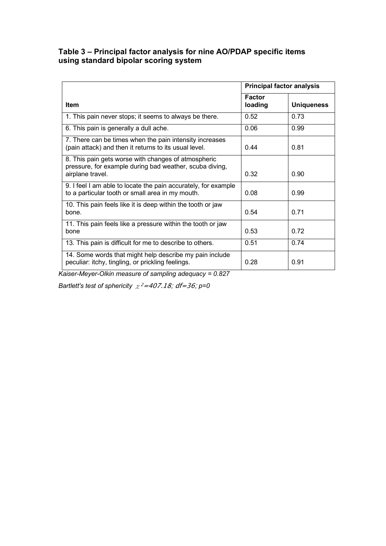### **Table 3 – Principal factor analysis for nine AO/PDAP specific items using standard bipolar scoring system**

|                                                                                                                                    | <b>Principal factor analysis</b> |                   |  |  |
|------------------------------------------------------------------------------------------------------------------------------------|----------------------------------|-------------------|--|--|
| Item                                                                                                                               | <b>Factor</b><br>loading         | <b>Uniqueness</b> |  |  |
| 1. This pain never stops; it seems to always be there.                                                                             | 0.52                             | 0.73              |  |  |
| 6. This pain is generally a dull ache.                                                                                             | 0.06                             | 0.99              |  |  |
| 7. There can be times when the pain intensity increases<br>(pain attack) and then it returns to its usual level.                   | 0.44                             | 0.81              |  |  |
| 8. This pain gets worse with changes of atmospheric<br>pressure, for example during bad weather, scuba diving,<br>airplane travel. | 0.32                             | 0.90              |  |  |
| 9. I feel I am able to locate the pain accurately, for example<br>to a particular tooth or small area in my mouth.                 | 0.08                             | 0.99              |  |  |
| 10. This pain feels like it is deep within the tooth or jaw<br>bone.                                                               | 0.54                             | 0.71              |  |  |
| 11. This pain feels like a pressure within the tooth or jaw<br>bone                                                                | 0.53                             | 0.72              |  |  |
| 13. This pain is difficult for me to describe to others.                                                                           | 0.51                             | 0.74              |  |  |
| 14. Some words that might help describe my pain include<br>peculiar: itchy, tingling, or prickling feelings.                       | 0.28                             | 0.91              |  |  |

*Kaiser-Meyer-Olkin measure of sampling adequacy = 0.827*

*Bartlett's test of sphericity*  $\chi^2 = 407.18$ ; *df=36*; *p*=0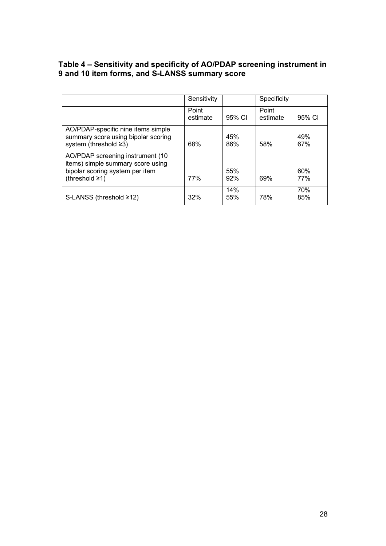| Table 4 – Sensitivity and specificity of AO/PDAP screening instrument in |
|--------------------------------------------------------------------------|
| 9 and 10 item forms, and S-LANSS summary score                           |

|                                                                                                                            | Sensitivity       |            | <b>Specificity</b> |                   |
|----------------------------------------------------------------------------------------------------------------------------|-------------------|------------|--------------------|-------------------|
|                                                                                                                            | Point<br>estimate | 95% CI     | Point<br>estimate  | 95% CI            |
| AO/PDAP-specific nine items simple<br>summary score using bipolar scoring<br>system (threshold ≥3)                         | 68%               | 45%<br>86% | 58%                | 49%<br>67%        |
| AO/PDAP screening instrument (10<br>items) simple summary score using<br>bipolar scoring system per item<br>(threshold ≥1) | <b>77%</b>        | 55%<br>92% | 69%                | 60%<br><b>77%</b> |
| S-LANSS (threshold ≥12)                                                                                                    | 32%               | 14%<br>55% | 78%                | 70%<br>85%        |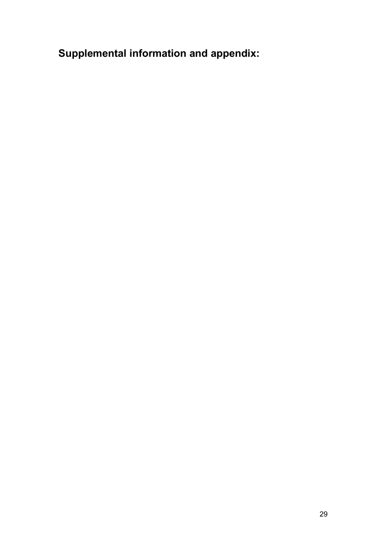**Supplemental information and appendix:**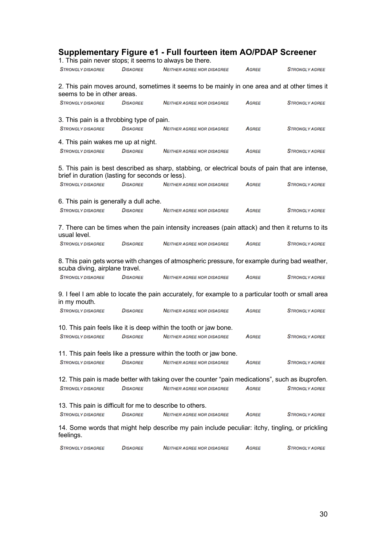|                                                                       |                 | Supplementary Figure e1 - Full fourteen item AO/PDAP Screener<br>1. This pain never stops; it seems to always be there. |              |                       |
|-----------------------------------------------------------------------|-----------------|-------------------------------------------------------------------------------------------------------------------------|--------------|-----------------------|
| <b>STRONGLY DISAGREE</b>                                              | <b>DISAGREE</b> | <b>NEITHER AGREE NOR DISAGREE</b>                                                                                       | <b>AGREE</b> | <b>STRONGLY AGREE</b> |
|                                                                       |                 |                                                                                                                         |              |                       |
| seems to be in other areas.                                           |                 | 2. This pain moves around, sometimes it seems to be mainly in one area and at other times it                            |              |                       |
| <b>STRONGLY DISAGREE</b>                                              | <b>DISAGREE</b> | <b>NEITHER AGREE NOR DISAGREE</b>                                                                                       | <b>AGREE</b> | <b>STRONGLY AGREE</b> |
|                                                                       |                 |                                                                                                                         |              |                       |
| 3. This pain is a throbbing type of pain.<br><b>STRONGLY DISAGREE</b> | <b>DISAGREE</b> | <b>NEITHER AGREE NOR DISAGREE</b>                                                                                       | <b>AGREE</b> | <b>STRONGLY AGREE</b> |
|                                                                       |                 |                                                                                                                         |              |                       |
| 4. This pain wakes me up at night.                                    |                 |                                                                                                                         |              |                       |
| <b>STRONGLY DISAGREE</b>                                              | <b>DISAGREE</b> | <b>NEITHER AGREE NOR DISAGREE</b>                                                                                       | <b>AGREE</b> | <b>STRONGLY AGREE</b> |
| brief in duration (lasting for seconds or less).                      |                 | 5. This pain is best described as sharp, stabbing, or electrical bouts of pain that are intense,                        |              |                       |
| <b>STRONGLY DISAGREE</b>                                              | <b>DISAGREE</b> | <b>NEITHER AGREE NOR DISAGREE</b>                                                                                       | <b>AGREE</b> | <b>STRONGLY AGREE</b> |
|                                                                       |                 |                                                                                                                         |              |                       |
| 6. This pain is generally a dull ache.                                |                 |                                                                                                                         |              |                       |
| <b>STRONGLY DISAGREE</b>                                              | <b>DISAGREE</b> | <b>NEITHER AGREE NOR DISAGREE</b>                                                                                       | <b>AGREE</b> | <b>STRONGLY AGREE</b> |
| usual level.                                                          |                 | 7. There can be times when the pain intensity increases (pain attack) and then it returns to its                        |              |                       |
| <b>STRONGLY DISAGREE</b>                                              | <b>DISAGREE</b> | <b>NEITHER AGREE NOR DISAGREE</b>                                                                                       | <b>AGREE</b> | <b>STRONGLY AGREE</b> |
| scuba diving, airplane travel.                                        |                 | 8. This pain gets worse with changes of atmospheric pressure, for example during bad weather,                           |              |                       |
| <b>STRONGLY DISAGREE</b>                                              | <b>DISAGREE</b> | <b>NEITHER AGREE NOR DISAGREE</b>                                                                                       | <b>AGREE</b> | <b>STRONGLY AGREE</b> |
| in my mouth.                                                          |                 | 9. I feel I am able to locate the pain accurately, for example to a particular tooth or small area                      |              |                       |
| <b>STRONGLY DISAGREE</b>                                              | <b>DISAGREE</b> | <b>NEITHER AGREE NOR DISAGREE</b>                                                                                       | <b>AGREE</b> | <b>STRONGLY AGREE</b> |
|                                                                       |                 | 10. This pain feels like it is deep within the tooth or jaw bone.                                                       |              |                       |
| <b>STRONGLY DISAGREE</b>                                              | <b>DISAGREE</b> | <b>NEITHER AGREE NOR DISAGREE</b>                                                                                       | <b>AGREE</b> | <b>STRONGLY AGREE</b> |
|                                                                       |                 |                                                                                                                         |              |                       |
|                                                                       |                 | 11. This pain feels like a pressure within the tooth or jaw bone.                                                       |              |                       |
| <b>STRONGLY DISAGREE</b>                                              | <b>DISAGREE</b> | <b>NEITHER AGREE NOR DISAGREE</b>                                                                                       | AGREE        | <b>STRONGLY AGREE</b> |
|                                                                       |                 |                                                                                                                         |              |                       |
|                                                                       |                 | 12. This pain is made better with taking over the counter "pain medications", such as ibuprofen.                        |              |                       |
| <b>STRONGLY DISAGREE</b>                                              | <b>DISAGREE</b> | <b>NEITHER AGREE NOR DISAGREE</b>                                                                                       | <b>AGREE</b> | <b>STRONGLY AGREE</b> |
| 13. This pain is difficult for me to describe to others.              |                 |                                                                                                                         |              |                       |
| <b>STRONGLY DISAGREE</b>                                              | <b>DISAGREE</b> | <b>NEITHER AGREE NOR DISAGREE</b>                                                                                       | AGREE        | <b>STRONGLY AGREE</b> |
| feelings.                                                             |                 | 14. Some words that might help describe my pain include peculiar: itchy, tingling, or prickling                         |              |                       |
| <b>STRONGLY DISAGREE</b>                                              | <b>DISAGREE</b> | <b>NEITHER AGREE NOR DISAGREE</b>                                                                                       | AGREE        | <b>STRONGLY AGREE</b> |
|                                                                       |                 |                                                                                                                         |              |                       |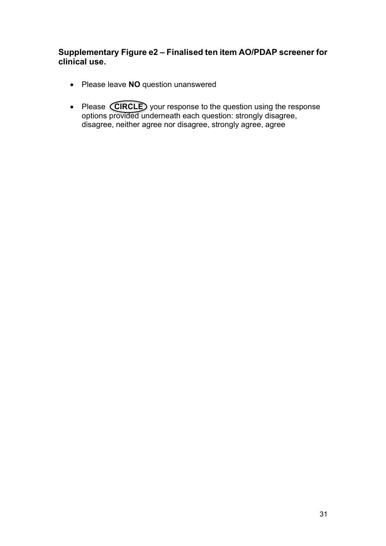# **Supplementary Figure e2 – Finalised ten item AO/PDAP screener for clinical use.**

- Please leave **NO** question unanswered
- Please **CIRCLE** your response to the question using the response options provided underneath each question: strongly disagree, disagree, neither agree nor disagree, strongly agree, agree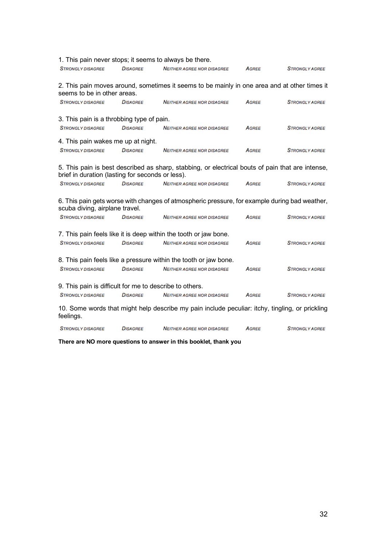|                                                         |                 | 1. This pain never stops; it seems to always be there.                                                |              |                       |
|---------------------------------------------------------|-----------------|-------------------------------------------------------------------------------------------------------|--------------|-----------------------|
| <b>STRONGLY DISAGREE</b>                                | <b>DISAGREE</b> | <b>NEITHER AGREE NOR DISAGREE</b>                                                                     | AGREE        | <b>STRONGLY AGREE</b> |
| seems to be in other areas.                             |                 | 2. This pain moves around, sometimes it seems to be mainly in one area and at other times it          |              |                       |
| <b>STRONGLY DISAGREE</b>                                | <b>DISAGREE</b> | <b>NEITHER AGREE NOR DISAGREE</b>                                                                     | <b>AGREE</b> | <b>STRONGLY AGREE</b> |
| 3. This pain is a throbbing type of pain.               |                 |                                                                                                       |              |                       |
| <b>STRONGLY DISAGREE</b>                                | <b>DISAGREE</b> | <b>NEITHER AGREE NOR DISAGREE</b>                                                                     | <b>AGREE</b> | <b>STRONGLY AGREE</b> |
| 4. This pain wakes me up at night.                      |                 |                                                                                                       |              |                       |
| <b>STRONGLY DISAGREE</b>                                | <b>DISAGREE</b> | <b>NEITHER AGREE NOR DISAGREE</b>                                                                     | AGREE        | <b>STRONGLY AGREE</b> |
| brief in duration (lasting for seconds or less).        |                 | 5. This pain is best described as sharp, stabbing, or electrical bouts of pain that are intense,      |              |                       |
| <b>STRONGLY DISAGREE</b>                                | <b>DISAGREE</b> | <b>NEITHER AGREE NOR DISAGREE</b>                                                                     | <b>AGREE</b> | <b>STRONGLY AGREE</b> |
| scuba diving, airplane travel.                          |                 | 6. This pain gets worse with changes of atmospheric pressure, for example during bad weather,         |              |                       |
| <b>STRONGLY DISAGREE</b>                                | <b>DISAGREE</b> | <b>NEITHER AGREE NOR DISAGREE</b>                                                                     | AGREE        | <b>STRONGLY AGREE</b> |
| <b>STRONGLY DISAGREE</b>                                | <b>DISAGREE</b> | 7. This pain feels like it is deep within the tooth or jaw bone.<br><b>NEITHER AGREE NOR DISAGREE</b> | <b>AGREE</b> | <b>STRONGLY AGREE</b> |
| <b>STRONGLY DISAGREE</b>                                | <b>DISAGREE</b> | 8. This pain feels like a pressure within the tooth or jaw bone.<br><b>NEITHER AGREE NOR DISAGREE</b> | <b>AGREE</b> | <b>STRONGLY AGREE</b> |
| 9. This pain is difficult for me to describe to others. |                 |                                                                                                       |              |                       |
| <b>STRONGLY DISAGREE</b>                                | <b>DISAGREE</b> | <b>NEITHER AGREE NOR DISAGREE</b>                                                                     | AGREE        | <b>STRONGLY AGREE</b> |
| feelings.                                               |                 | 10. Some words that might help describe my pain include peculiar: itchy, tingling, or prickling       |              |                       |
| <b>STRONGLY DISAGREE</b>                                | <b>DISAGREE</b> | <b>NEITHER AGREE NOR DISAGREE</b>                                                                     | <b>AGREE</b> | <b>STRONGLY AGREE</b> |

**There are NO more questions to answer in this booklet, thank you**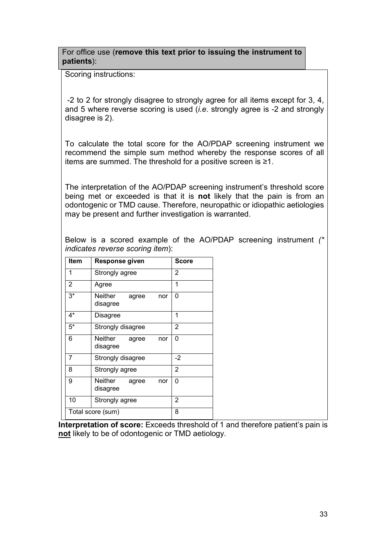For office use (**remove this text prior to issuing the instrument to patients**):

Scoring instructions:

-2 to 2 for strongly disagree to strongly agree for all items except for 3, 4, and 5 where reverse scoring is used (*i.e*. strongly agree is -2 and strongly disagree is 2).

To calculate the total score for the AO/PDAP screening instrument we recommend the simple sum method whereby the response scores of all items are summed. The threshold for a positive screen is ≥1.

The interpretation of the AO/PDAP screening instrument's threshold score being met or exceeded is that it is **not** likely that the pain is from an odontogenic or TMD cause. Therefore, neuropathic or idiopathic aetiologies may be present and further investigation is warranted.

Below is a scored example of the AO/PDAP screening instrument *(\* indicates reverse scoring item*):

| Item              | <b>Response given</b>               | Score          |
|-------------------|-------------------------------------|----------------|
| 1                 | Strongly agree                      | 2              |
| 2                 | Agree                               | 1              |
| $3*$              | Neither<br>agree<br>nor<br>disagree | 0              |
| $4^*$             | Disagree                            | 1              |
| $5^*$             | Strongly disagree                   | 2              |
| 6                 | Neither agree<br>nor<br>disagree    | 0              |
| 7                 | Strongly disagree                   | -2             |
| 8                 | Strongly agree                      | 2              |
| 9                 | Neither agree<br>nor<br>disagree    | 0              |
| 10                | Strongly agree                      | $\overline{2}$ |
| Total score (sum) | 8                                   |                |

**Interpretation of score:** Exceeds threshold of 1 and therefore patient's pain is **not** likely to be of odontogenic or TMD aetiology.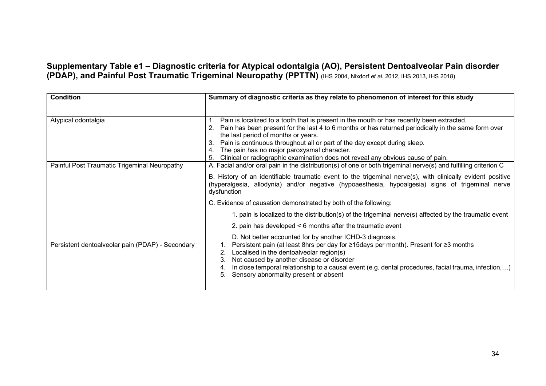**Supplementary Table e1 – Diagnostic criteria for Atypical odontalgia (AO), Persistent Dentoalveolar Pain disorder (PDAP), and Painful Post Traumatic Trigeminal Neuropathy (PPTTN)** (IHS 2004, Nixdorf *et al.* 2012, IHS 2013, IHS 2018)

| <b>Condition</b>                                 | Summary of diagnostic criteria as they relate to phenomenon of interest for this study                                                                                                                                                                                                                                                                                                                                                                                   |
|--------------------------------------------------|--------------------------------------------------------------------------------------------------------------------------------------------------------------------------------------------------------------------------------------------------------------------------------------------------------------------------------------------------------------------------------------------------------------------------------------------------------------------------|
|                                                  |                                                                                                                                                                                                                                                                                                                                                                                                                                                                          |
| Atypical odontalgia                              | Pain is localized to a tooth that is present in the mouth or has recently been extracted.<br>Pain has been present for the last 4 to 6 months or has returned periodically in the same form over<br>the last period of months or years.<br>Pain is continuous throughout all or part of the day except during sleep.<br>З.<br>The pain has no major paroxysmal character.<br>4.<br>Clinical or radiographic examination does not reveal any obvious cause of pain.<br>5. |
| Painful Post Traumatic Trigeminal Neuropathy     | A. Facial and/or oral pain in the distribution(s) of one or both trigeminal nerve(s) and fulfilling criterion C<br>B. History of an identifiable traumatic event to the trigeminal nerve(s), with clinically evident positive<br>(hyperalgesia, allodynia) and/or negative (hypoaesthesia, hypoalgesia) signs of trigeminal nerve<br>dysfunction                                                                                                                         |
|                                                  | C. Evidence of causation demonstrated by both of the following:                                                                                                                                                                                                                                                                                                                                                                                                          |
|                                                  | 1. pain is localized to the distribution(s) of the trigeminal nerve(s) affected by the traumatic event                                                                                                                                                                                                                                                                                                                                                                   |
|                                                  | 2. pain has developed < 6 months after the traumatic event                                                                                                                                                                                                                                                                                                                                                                                                               |
|                                                  | D. Not better accounted for by another ICHD-3 diagnosis.                                                                                                                                                                                                                                                                                                                                                                                                                 |
| Persistent dentoalveolar pain (PDAP) - Secondary | Persistent pain (at least 8hrs per day for ≥15days per month). Present for ≥3 months<br>Localised in the dentoalveolar region(s)<br>2.<br>Not caused by another disease or disorder<br>З.<br>In close temporal relationship to a causal event (e.g. dental procedures, facial trauma, infection,)<br>Sensory abnormality present or absent<br>5.                                                                                                                         |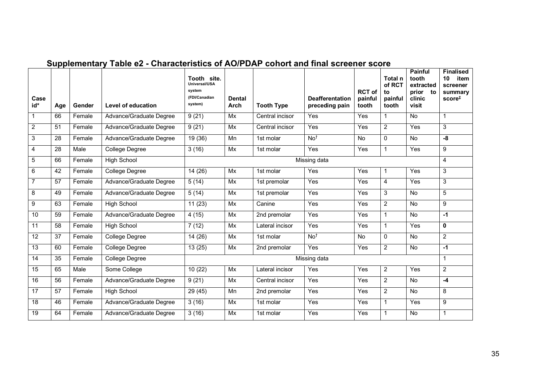| Case<br>id*     | Age | Gender | <b>Level of education</b> | Tooth site.<br>Universal/USA<br>system<br>(FDI/Canadian<br>system) | <b>Dental</b><br>Arch | <b>Tooth Type</b> | <b>Deafferentation</b><br>preceding pain | <b>RCT of</b><br>painful<br>tooth | Total n<br>of RCT<br>to<br>painful<br>tooth | <b>Painful</b><br>tooth<br>extracted<br>prior to<br>clinic<br>visit | <b>Finalised</b><br>item<br>10<br>screener<br>summary<br>$score^{\ddagger}$ |
|-----------------|-----|--------|---------------------------|--------------------------------------------------------------------|-----------------------|-------------------|------------------------------------------|-----------------------------------|---------------------------------------------|---------------------------------------------------------------------|-----------------------------------------------------------------------------|
| $\mathbf{1}$    | 66  | Female | Advance/Graduate Degree   | 9(21)                                                              | Mx                    | Central incisor   | Yes                                      | Yes                               | $\mathbf{1}$                                | No                                                                  | $\mathbf{1}$                                                                |
| $\overline{2}$  | 51  | Female | Advance/Graduate Degree   | 9(21)                                                              | Mx                    | Central incisor   | Yes                                      | Yes                               | $\overline{2}$                              | Yes                                                                 | 3                                                                           |
| $\overline{3}$  | 28  | Female | Advance/Graduate Degree   | 19(36)                                                             | Mn                    | 1st molar         | No <sup>†</sup>                          | <b>No</b>                         | 0                                           | No                                                                  | -8                                                                          |
| $\overline{4}$  | 28  | Male   | College Degree            | 3(16)                                                              | Mx                    | 1st molar         | Yes                                      | Yes                               | $\mathbf{1}$                                | Yes                                                                 | 9                                                                           |
| $\overline{5}$  | 66  | Female | <b>High School</b>        | Missing data                                                       |                       |                   |                                          |                                   |                                             |                                                                     | 4                                                                           |
| $\overline{6}$  | 42  | Female | College Degree            | 14(26)                                                             | Mx                    | 1st molar         | Yes                                      | Yes                               | 1                                           | Yes                                                                 | 3                                                                           |
| $\overline{7}$  | 57  | Female | Advance/Graduate Degree   | 5(14)                                                              | Mx                    | 1st premolar      | Yes                                      | Yes                               | 4                                           | Yes                                                                 | 3                                                                           |
| 8               | 49  | Female | Advance/Graduate Degree   | 5(14)                                                              | Mx                    | 1st premolar      | Yes                                      | Yes                               | 3                                           | No                                                                  | 5                                                                           |
| $\overline{9}$  | 63  | Female | <b>High School</b>        | 11(23)                                                             | Mx                    | Canine            | Yes                                      | Yes                               | $\overline{2}$                              | No                                                                  | 9                                                                           |
| 10              | 59  | Female | Advance/Graduate Degree   | 4(15)                                                              | Mx                    | 2nd premolar      | Yes                                      | Yes                               | $\mathbf{1}$                                | <b>No</b>                                                           | $-1$                                                                        |
| $\overline{11}$ | 58  | Female | <b>High School</b>        | 7(12)                                                              | Mx                    | Lateral incisor   | Yes                                      | Yes                               | $\mathbf{1}$                                | Yes                                                                 | 0                                                                           |
| $\overline{12}$ | 37  | Female | <b>College Degree</b>     | 14(26)                                                             | Mx                    | 1st molar         | No <sup>†</sup>                          | No                                | $\mathbf 0$                                 | No                                                                  | $\overline{2}$                                                              |
| $\overline{13}$ | 60  | Female | <b>College Degree</b>     | 13(25)                                                             | Mx                    | 2nd premolar      | Yes                                      | Yes                               | $\overline{2}$                              | No                                                                  | $-1$                                                                        |
| 14              | 35  | Female | College Degree            |                                                                    |                       |                   | Missing data                             |                                   |                                             |                                                                     | 1                                                                           |
| 15              | 65  | Male   | Some College              | 10(22)                                                             | Mx                    | Lateral incisor   | Yes                                      | Yes                               | $\overline{2}$                              | Yes                                                                 | 2                                                                           |
| 16              | 56  | Female | Advance/Graduate Degree   | 9(21)                                                              | Mx                    | Central incisor   | Yes                                      | Yes                               | $\overline{2}$                              | No                                                                  | $-4$                                                                        |
| $\overline{17}$ | 57  | Female | High School               | 29(45)                                                             | Mn                    | 2nd premolar      | Yes                                      | Yes                               | $\overline{2}$                              | <b>No</b>                                                           | 8                                                                           |
| 18              | 46  | Female | Advance/Graduate Degree   | 3(16)                                                              | Mx                    | 1st molar         | Yes                                      | Yes                               | $\mathbf{1}$                                | Yes                                                                 | 9                                                                           |
| 19              | 64  | Female | Advance/Graduate Degree   | 3(16)                                                              | Mx                    | 1st molar         | Yes                                      | Yes                               | 1                                           | <b>No</b>                                                           | 1                                                                           |

# **Supplementary Table e2 - Characteristics of AO/PDAP cohort and final screener score**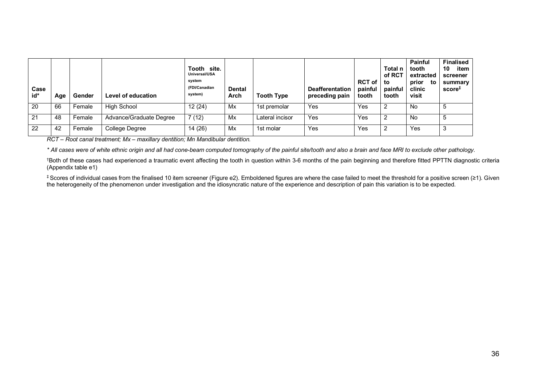| Case<br>id* | Aqe | Gender | Level of education      | Tooth site.<br>Universal/USA<br>system<br>(FDI/Canadian<br>system) | <b>Dental</b><br>Arch | <b>Tooth Type</b> | <b>Deafferentation</b><br>preceding pain | <b>RCT of</b><br>painful<br>tooth | Total n<br>of RCT<br>to<br>painful<br>tooth | <b>Painful</b><br>tooth<br>extracted<br>prior<br>to<br>clinic<br>visit | <b>Finalised</b><br>10<br>item<br>screener<br>summary<br>$score^+$ |
|-------------|-----|--------|-------------------------|--------------------------------------------------------------------|-----------------------|-------------------|------------------------------------------|-----------------------------------|---------------------------------------------|------------------------------------------------------------------------|--------------------------------------------------------------------|
| 20          | 66  | Female | <b>High School</b>      | 12(24)                                                             | Mx                    | 1st premolar      | Yes                                      | Yes                               | $\overline{2}$                              | <b>No</b>                                                              | 5                                                                  |
| 21          | 48  | Female | Advance/Graduate Degree | 7(12)                                                              | Mx                    | Lateral incisor   | Yes                                      | Yes                               |                                             | No                                                                     | b                                                                  |
| 22          | 42  | Female | College Degree          | 14 (26)                                                            | Mx                    | 1st molar         | Yes                                      | Yes                               | -2                                          | Yes                                                                    | 3                                                                  |

*RCT – Root canal treatment; Mx – maxillary dentition; Mn Mandibular dentition.*

*\* All cases were of white ethnic origin and all had cone-beam computed tomography of the painful site/tooth and also a brain and face MRI to exclude other pathology.* 

†Both of these cases had experienced a traumatic event affecting the tooth in question within 3-6 months of the pain beginning and therefore fitted PPTTN diagnostic criteria (Appendix table e1)

‡ Scores of individual cases from the finalised 10 item screener (Figure e2). Emboldened figures are where the case failed to meet the threshold for a positive screen (≥1). Given the heterogeneity of the phenomenon under investigation and the idiosyncratic nature of the experience and description of pain this variation is to be expected.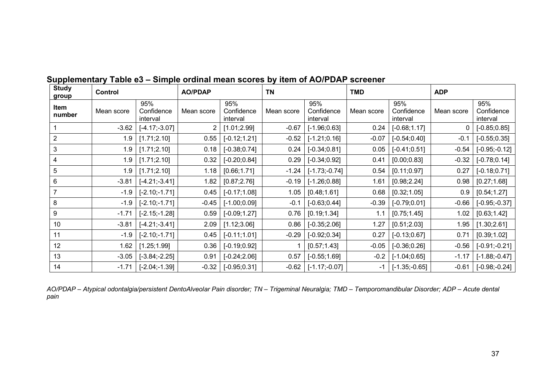| <b>Study</b><br>group | Control    |                               | <b>AO/PDAP</b> |                               | <b>TN</b>  |                               | <b>TMD</b> |                               | <b>ADP</b> |                               |
|-----------------------|------------|-------------------------------|----------------|-------------------------------|------------|-------------------------------|------------|-------------------------------|------------|-------------------------------|
| Item<br>number        | Mean score | 95%<br>Confidence<br>interval | Mean score     | 95%<br>Confidence<br>interval | Mean score | 95%<br>Confidence<br>interval | Mean score | 95%<br>Confidence<br>interval | Mean score | 95%<br>Confidence<br>interval |
|                       | $-3.62$    | $[-4.17; -3.07]$              | 2              | [1.01;2.99]                   | $-0.67$    | $[-1.96; 0.63]$               | 0.24       | $[-0.68; 1.17]$               | 0          | $[-0.85; 0.85]$               |
| $\overline{2}$        | 1.9        | [1.71;2.10]                   | 0.55           | $[-0.12;1.21]$                | $-0.52$    | $[-1.21;0.16]$                | $-0.07$    | $[-0.54; 0.40]$               | $-0.1$     | $[-0.55; 0.35]$               |
| $\mathbf{3}$          | 1.9        | [1.71;2.10]                   | 0.18           | $[-0.38;0.74]$                | 0.24       | $[-0.34; 0.81]$               | 0.05       | $[-0.41;0.51]$                | $-0.54$    | $[-0.95; -0.12]$              |
| 4                     | 1.9        | [1.71;2.10]                   | 0.32           | $[-0.20; 0.84]$               | 0.29       | $[-0.34;0.92]$                | 0.41       | [0.00; 0.83]                  | $-0.32$    | $[-0.78; 0.14]$               |
| $\overline{5}$        | 1.9        | [1.71;2.10]                   | 1.18           | [0.66; 1.71]                  | $-1.24$    | $[-1.73; -0.74]$              | 0.54       | [0.11; 0.97]                  | 0.27       | $[-0.18; 0.71]$               |
| $\,6$                 | $-3.81$    | $[-4.21; -3.41]$              | 1.82           | [0.87; 2.76]                  | $-0.19$    | $[-1.26; 0.88]$               | 1.61       | [0.98; 2.24]                  | 0.98       | [0.27; 1.68]                  |
| $\overline{7}$        | $-1.9$     | $[-2.10; -1.71]$              | 0.45           | $[-0.17;1.08]$                | 1.05       | [0.48; 1.61]                  | 0.68       | [0.32; 1.05]                  | 0.9        | [0.54; 1.27]                  |
| 8                     | $-1.9$     | $[-2.10; -1.71]$              | $-0.45$        | $[-1.00;0.09]$                | $-0.1$     | $[-0.63; 0.44]$               | $-0.39$    | $[-0.79;0.01]$                | $-0.66$    | $[-0.95; -0.37]$              |
| 9                     | $-1.71$    | $[-2.15; -1.28]$              | 0.59           | $[-0.09; 1.27]$               | 0.76       | [0.19; 1.34]                  | 1.1        | [0.75; 1.45]                  | 1.02       | [0.63; 1.42]                  |
| 10                    | $-3.81$    | $[-4.21; -3.41]$              | 2.09           | [1.12;3.06]                   | 0.86       | $[-0.35; 2.06]$               | 1.27       | [0.51;2.03]                   | 1.95       | [1.30;2.61]                   |
| 11                    | $-1.9$     | $[-2.10; -1.71]$              | 0.45           | $[-0.11;1.01]$                | $-0.29$    | $[-0.92;0.34]$                | 0.27       | $[-0.13;0.67]$                | 0.71       | [0.39; 1.02]                  |
| 12                    | 1.62       | [1.25; 1.99]                  | 0.36           | $[-0.19; 0.92]$               |            | [0.57; 1.43]                  | $-0.05$    | $[-0.36;0.26]$                | $-0.56$    | $[-0.91; -0.21]$              |
| 13                    | $-3.05$    | $[-3.84; -2.25]$              | 0.91           | $[-0.24;2.06]$                | 0.57       | $[-0.55; 1.69]$               | $-0.2$     | $[-1.04; 0.65]$               | $-1.17$    | $[-1.88; -0.47]$              |
| 14                    | $-1.71$    | $[-2.04; -1.39]$              | $-0.32$        | $[-0.95; 0.31]$               | $-0.62$    | $[-1.17; -0.07]$              | $-1$       | $[-1.35,-0.65]$               | $-0.61$    | $[-0.98,-0.24]$               |

# **Supplementary Table e3 – Simple ordinal mean scores by item of AO/PDAP screener**

*AO/PDAP – Atypical odontalgia/persistent DentoAlveolar Pain disorder; TN – Trigeminal Neuralgia; TMD – Temporomandibular Disorder; ADP – Acute dental pain*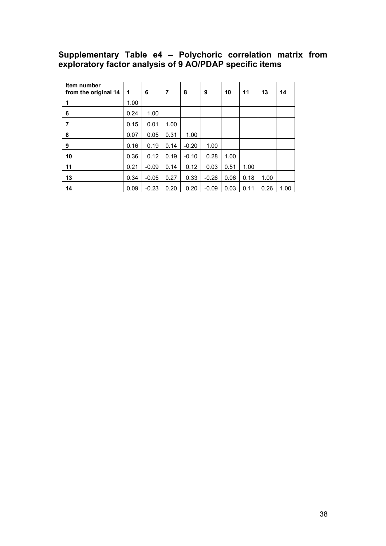## **Supplementary Table e4 – Polychoric correlation matrix from exploratory factor analysis of 9 AO/PDAP specific items**

| Item number<br>from the original 14 | 1    | 6       | 7    | 8       | 9       | 10   | 11   | 13   | 14   |
|-------------------------------------|------|---------|------|---------|---------|------|------|------|------|
| 1                                   | 1.00 |         |      |         |         |      |      |      |      |
| 6                                   | 0.24 | 1.00    |      |         |         |      |      |      |      |
| 7                                   | 0.15 | 0.01    | 1.00 |         |         |      |      |      |      |
| 8                                   | 0.07 | 0.05    | 0.31 | 1.00    |         |      |      |      |      |
| 9                                   | 0.16 | 0.19    | 0.14 | $-0.20$ | 1.00    |      |      |      |      |
| 10                                  | 0.36 | 0.12    | 0.19 | $-0.10$ | 0.28    | 1.00 |      |      |      |
| 11                                  | 0.21 | $-0.09$ | 0.14 | 0.12    | 0.03    | 0.51 | 1.00 |      |      |
| 13                                  | 0.34 | $-0.05$ | 0.27 | 0.33    | $-0.26$ | 0.06 | 0.18 | 1.00 |      |
| 14                                  | 0.09 | $-0.23$ | 0.20 | 0.20    | $-0.09$ | 0.03 | 0.11 | 0.26 | 1.00 |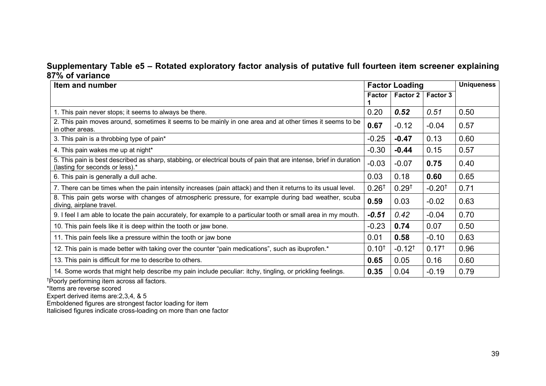## **Supplementary Table e5 – Rotated exploratory factor analysis of putative full fourteen item screener explaining 87% of variance**

| Item and number                                                                                                                                       |                  | <b>Factor Loading</b> |                      |      |
|-------------------------------------------------------------------------------------------------------------------------------------------------------|------------------|-----------------------|----------------------|------|
|                                                                                                                                                       | <b>Factor</b>    | <b>Factor 2</b>       | Factor 3             |      |
| 1. This pain never stops; it seems to always be there.                                                                                                | 0.20             | 0.52                  | 0.51                 | 0.50 |
| 2. This pain moves around, sometimes it seems to be mainly in one area and at other times it seems to be<br>in other areas.                           | 0.67             | $-0.12$               | $-0.04$              | 0.57 |
| 3. This pain is a throbbing type of pain*                                                                                                             | $-0.25$          | $-0.47$               | 0.13                 | 0.60 |
| 4. This pain wakes me up at night*                                                                                                                    | $-0.30$          | $-0.44$               | 0.15                 | 0.57 |
| 5. This pain is best described as sharp, stabbing, or electrical bouts of pain that are intense, brief in duration<br>(lasting for seconds or less).* | $-0.03$          | $-0.07$               | 0.75                 | 0.40 |
| 6. This pain is generally a dull ache.                                                                                                                | 0.03             | 0.18                  | 0.60                 | 0.65 |
| 7. There can be times when the pain intensity increases (pain attack) and then it returns to its usual level.                                         | $0.26^{\dagger}$ | $0.29^{+}$            | $-0.20$ <sup>t</sup> | 0.71 |
| 8. This pain gets worse with changes of atmospheric pressure, for example during bad weather, scuba<br>diving, airplane travel.                       | 0.59             | 0.03                  | $-0.02$              | 0.63 |
| 9. I feel I am able to locate the pain accurately, for example to a particular tooth or small area in my mouth.                                       | $-0.51$          | 0.42                  | $-0.04$              | 0.70 |
| 10. This pain feels like it is deep within the tooth or jaw bone.                                                                                     | $-0.23$          | 0.74                  | 0.07                 | 0.50 |
| 11. This pain feels like a pressure within the tooth or jaw bone                                                                                      | 0.01             | 0.58                  | $-0.10$              | 0.63 |
| 12. This pain is made better with taking over the counter "pain medications", such as ibuprofen.*                                                     | $0.10^{+}$       | $-0.12$ <sup>†</sup>  | 0.17 <sup>†</sup>    | 0.96 |
| 13. This pain is difficult for me to describe to others.                                                                                              | 0.65             | 0.05                  | 0.16                 | 0.60 |
| 14. Some words that might help describe my pain include peculiar: itchy, tingling, or prickling feelings.                                             | 0.35             | 0.04                  | $-0.19$              | 0.79 |

†Poorly performing item across all factors.

\*Items are reverse scored

Expert derived items are:2,3,4, & 5

Emboldened figures are strongest factor loading for item

Italicised figures indicate cross-loading on more than one factor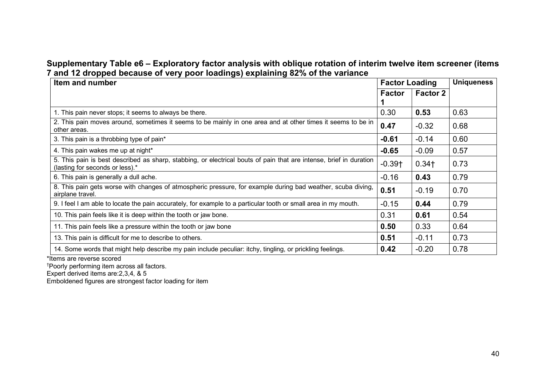### **Supplementary Table e6 – Exploratory factor analysis with oblique rotation of interim twelve item screener (items 7 and 12 dropped because of very poor loadings) explaining 82% of the variance**

| Item and number                                                                                                                                       |          | <b>Factor Loading</b> | <b>Uniqueness</b> |
|-------------------------------------------------------------------------------------------------------------------------------------------------------|----------|-----------------------|-------------------|
|                                                                                                                                                       | Factor   | <b>Factor 2</b>       |                   |
|                                                                                                                                                       |          |                       |                   |
| 1. This pain never stops; it seems to always be there.                                                                                                | 0.30     | 0.53                  | 0.63              |
| 2. This pain moves around, sometimes it seems to be mainly in one area and at other times it seems to be in<br>other areas.                           | 0.47     | $-0.32$               | 0.68              |
| 3. This pain is a throbbing type of pain*                                                                                                             | $-0.61$  | $-0.14$               | 0.60              |
| 4. This pain wakes me up at night*                                                                                                                    | $-0.65$  | $-0.09$               | 0.57              |
| 5. This pain is best described as sharp, stabbing, or electrical bouts of pain that are intense, brief in duration<br>(lasting for seconds or less).* | $-0.39+$ | $0.34+$               | 0.73              |
| 6. This pain is generally a dull ache.                                                                                                                | $-0.16$  | 0.43                  | 0.79              |
| 8. This pain gets worse with changes of atmospheric pressure, for example during bad weather, scuba diving,<br>airplane travel.                       | 0.51     | $-0.19$               | 0.70              |
| 9. I feel I am able to locate the pain accurately, for example to a particular tooth or small area in my mouth.                                       | $-0.15$  | 0.44                  | 0.79              |
| 10. This pain feels like it is deep within the tooth or jaw bone.                                                                                     | 0.31     | 0.61                  | 0.54              |
| 11. This pain feels like a pressure within the tooth or jaw bone                                                                                      | 0.50     | 0.33                  | 0.64              |
| 13. This pain is difficult for me to describe to others.                                                                                              | 0.51     | $-0.11$               | 0.73              |
| 14. Some words that might help describe my pain include peculiar: itchy, tingling, or prickling feelings.                                             | 0.42     | $-0.20$               | 0.78              |

\*Items are reverse scored

† Poorly performing item across all factors.

Expert derived items are:2,3,4, & 5

Emboldened figures are strongest factor loading for item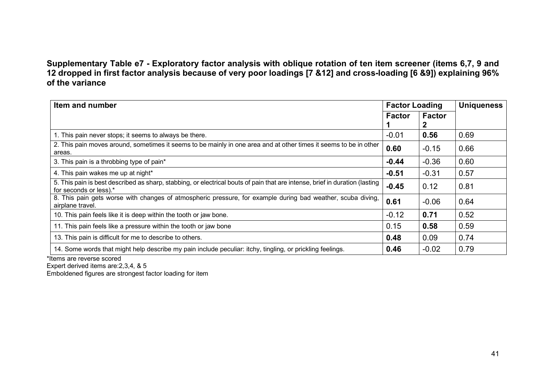# **Supplementary Table e7 - Exploratory factor analysis with oblique rotation of ten item screener (items 6,7, 9 and 12 dropped in first factor analysis because of very poor loadings [7 &12] and cross-loading [6 &9]) explaining 96% of the variance**

| Item and number                                                                                                                                       |               | <b>Factor Loading</b> | <b>Uniqueness</b> |
|-------------------------------------------------------------------------------------------------------------------------------------------------------|---------------|-----------------------|-------------------|
|                                                                                                                                                       | <b>Factor</b> | <b>Factor</b><br>2    |                   |
| 1. This pain never stops; it seems to always be there.                                                                                                | $-0.01$       | 0.56                  | 0.69              |
| 2. This pain moves around, sometimes it seems to be mainly in one area and at other times it seems to be in other<br>areas.                           | 0.60          | $-0.15$               | 0.66              |
| 3. This pain is a throbbing type of pain*                                                                                                             | $-0.44$       | $-0.36$               | 0.60              |
| 4. This pain wakes me up at night*                                                                                                                    | $-0.51$       | $-0.31$               | 0.57              |
| 5. This pain is best described as sharp, stabbing, or electrical bouts of pain that are intense, brief in duration (lasting<br>for seconds or less).* | $-0.45$       | 0.12                  | 0.81              |
| 8. This pain gets worse with changes of atmospheric pressure, for example during bad weather, scuba diving,<br>airplane travel.                       | 0.61          | $-0.06$               | 0.64              |
| 10. This pain feels like it is deep within the tooth or jaw bone.                                                                                     | $-0.12$       | 0.71                  | 0.52              |
| 11. This pain feels like a pressure within the tooth or jaw bone                                                                                      | 0.15          | 0.58                  | 0.59              |
| 13. This pain is difficult for me to describe to others.                                                                                              | 0.48          | 0.09                  | 0.74              |
| 14. Some words that might help describe my pain include peculiar: itchy, tingling, or prickling feelings.                                             | 0.46          | $-0.02$               | 0.79              |

\*Items are reverse scored

Expert derived items are:2,3,4, & 5

Emboldened figures are strongest factor loading for item